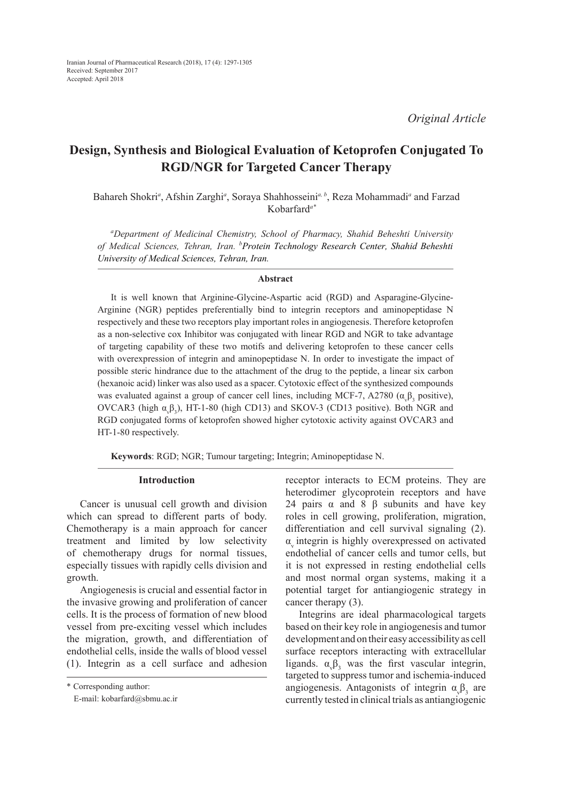# **Design, Synthesis and Biological Evaluation of Ketoprofen Conjugated To RGD/NGR for Targeted Cancer Therapy**

Bahareh Shokri*<sup>a</sup>* , Afshin Zarghi*<sup>a</sup>* , Soraya Shahhosseini*<sup>a</sup>, b*, Reza Mohammadi*<sup>a</sup>* and Farzad Kobarfard*a\**

*a Department of Medicinal Chemistry, School of Pharmacy, Shahid Beheshti University of Medical Sciences, Tehran, Iran. <sup>b</sup> Protein Technology Research Center, Shahid Beheshti University of Medical Sciences, Tehran, Iran.* 

#### **Abstract**

It is well known that Arginine-Glycine-Aspartic acid (RGD) and Asparagine-Glycine-Arginine (NGR) peptides preferentially bind to integrin receptors and aminopeptidase N respectively and these two receptors play important roles in angiogenesis. Therefore ketoprofen as a non-selective cox Inhibitor was conjugated with linear RGD and NGR to take advantage of targeting capability of these two motifs and delivering ketoprofen to these cancer cells with overexpression of integrin and aminopeptidase N. In order to investigate the impact of possible steric hindrance due to the attachment of the drug to the peptide, a linear six carbon (hexanoic acid) linker was also used as a spacer. Cytotoxic effect of the synthesized compounds was evaluated against a group of cancer cell lines, including MCF-7, A2780 ( $\alpha_{\varphi}\beta_3$  positive), OVCAR3 (high  $\alpha_v\beta_3$ ), HT-1-80 (high CD13) and SKOV-3 (CD13 positive). Both NGR and RGD conjugated forms of ketoprofen showed higher cytotoxic activity against OVCAR3 and HT-1-80 respectively.

**Keywords**: RGD; NGR; Tumour targeting; Integrin; Aminopeptidase N.

#### **Introduction**

Cancer is unusual cell growth and division which can spread to different parts of body. Chemotherapy is a main approach for cancer treatment and limited by low selectivity of chemotherapy drugs for normal tissues, especially tissues with rapidly cells division and growth.

Angiogenesis is crucial and essential factor in the invasive growing and proliferation of cancer cells. It is the process of formation of new blood vessel from pre-exciting vessel which includes the migration, growth, and differentiation of endothelial cells, inside the walls of blood vessel (1). Integrin as a cell surface and adhesion receptor interacts to ECM proteins. They are heterodimer glycoprotein receptors and have 24 pairs  $\alpha$  and 8 β subunits and have key roles in cell growing, proliferation, migration, differentiation and cell survival signaling (2).  $\alpha$  integrin is highly overexpressed on activated endothelial of cancer cells and tumor cells, but it is not expressed in resting endothelial cells and most normal organ systems, making it a potential target for antiangiogenic strategy in cancer therapy (3).

Integrins are ideal pharmacological targets based on their key role in angiogenesis and tumor development and on their easy accessibility as cell surface receptors interacting with extracellular ligands.  $\alpha_{\nu} \beta_3$  was the first vascular integrin, targeted to suppress tumor and ischemia-induced angiogenesis. Antagonists of integrin  $\alpha_{\nu} \beta_3$  are currently tested in clinical trials as antiangiogenic

<sup>\*</sup> Corresponding author:

E-mail: kobarfard@sbmu.ac.ir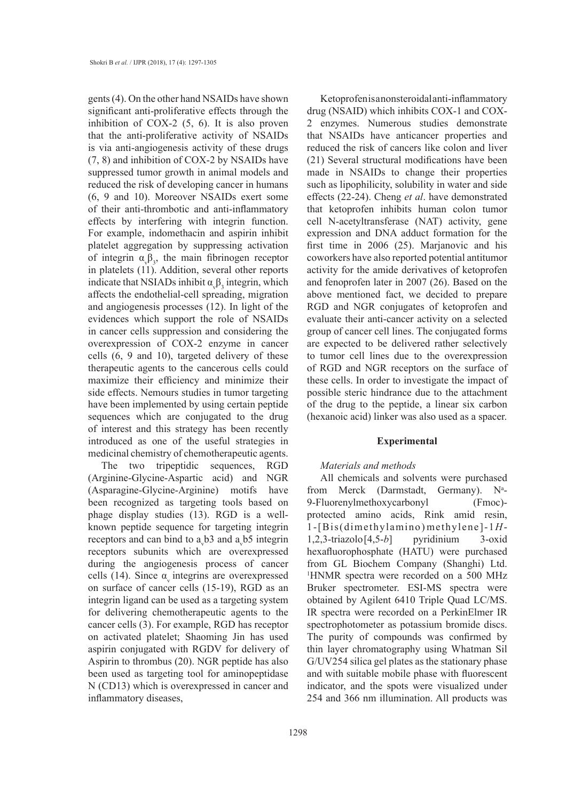gents (4). On the other hand NSAIDs have shown significant anti-proliferative effects through the inhibition of COX-2 (5, 6). It is also proven that the anti-proliferative activity of NSAIDs is via anti-angiogenesis activity of these drugs (7, 8) and inhibition of COX-2 by NSAIDs have suppressed tumor growth in animal models and reduced the risk of developing cancer in humans (6, 9 and 10). Moreover NSAIDs exert some of their anti-thrombotic and anti-inflammatory effects by interfering with integrin function. For example, indomethacin and aspirin inhibit platelet aggregation by suppressing activation of integrin  $\alpha_{\nu} \beta_3$ , the main fibrinogen receptor in platelets (11). Addition, several other reports indicate that NSIADs inhibit  $\alpha_{\nu} \beta_3$  integrin, which affects the endothelial-cell spreading, migration and angiogenesis processes (12). In light of the evidences which support the role of NSAIDs in cancer cells suppression and considering the overexpression of COX-2 enzyme in cancer cells (6, 9 and 10), targeted delivery of these therapeutic agents to the cancerous cells could maximize their efficiency and minimize their side effects. Nemours studies in tumor targeting have been implemented by using certain peptide sequences which are conjugated to the drug of interest and this strategy has been recently introduced as one of the useful strategies in medicinal chemistry of chemotherapeutic agents.

The two tripeptidic sequences, RGD (Arginine-Glycine-Aspartic acid) and NGR (Asparagine-Glycine-Arginine) motifs have been recognized as targeting tools based on phage display studies (13). RGD is a wellknown peptide sequence for targeting integrin receptors and can bind to  $a_y$ b3 and  $a_y$ b5 integrin receptors subunits which are overexpressed during the angiogenesis process of cancer cells (14). Since  $\alpha$  integrins are overexpressed on surface of cancer cells (15-19), RGD as an integrin ligand can be used as a targeting system for delivering chemotherapeutic agents to the cancer cells (3). For example, RGD has receptor on activated platelet; Shaoming Jin has used aspirin conjugated with RGDV for delivery of Aspirin to thrombus (20). NGR peptide has also been used as targeting tool for aminopeptidase N (CD13) which is overexpressed in cancer and inflammatory diseases,

Ketoprofen is a nonsteroidal anti-inflammatory drug (NSAID) which inhibits COX-1 and COX-2 enzymes. Numerous studies demonstrate that NSAIDs have anticancer properties and reduced the risk of cancers like colon and liver (21) Several structural modifications have been made in NSAIDs to change their properties such as lipophilicity, solubility in water and side effects (22-24). Cheng *et al*. have demonstrated that ketoprofen inhibits human colon tumor cell N-acetyltransferase (NAT) activity, gene expression and DNA adduct formation for the first time in 2006 (25). Marjanovic and his coworkers have also reported potential antitumor activity for the amide derivatives of ketoprofen and fenoprofen later in 2007 (26). Based on the above mentioned fact, we decided to prepare RGD and NGR conjugates of ketoprofen and evaluate their anti-cancer activity on a selected group of cancer cell lines. The conjugated forms are expected to be delivered rather selectively to tumor cell lines due to the overexpression of RGD and NGR receptors on the surface of these cells. In order to investigate the impact of possible steric hindrance due to the attachment of the drug to the peptide, a linear six carbon (hexanoic acid) linker was also used as a spacer.

### **Experimental**

#### *Materials and methods*

All chemicals and solvents were purchased from Merck (Darmstadt, Germany). N<sup>a</sup>-9-Fluorenylmethoxycarbonyl (Fmoc) protected amino acids, Rink amid resin, 1-[Bis(dimethylamino)methylene]-1*H*-1,2,3-triazolo[4,5-*b*] pyridinium 3-oxid hexafluorophosphate (HATU) were purchased from GL Biochem Company (Shanghi) Ltd. 1 HNMR spectra were recorded on a 500 MHz Bruker spectrometer. ESI-MS spectra were obtained by Agilent 6410 Triple Quad LC/MS. IR spectra were recorded on a PerkinElmer IR spectrophotometer as potassium bromide discs. The purity of compounds was confirmed by thin layer chromatography using Whatman Sil G/UV254 silica gel plates as the stationary phase and with suitable mobile phase with fluorescent indicator, and the spots were visualized under 254 and 366 nm illumination. All products was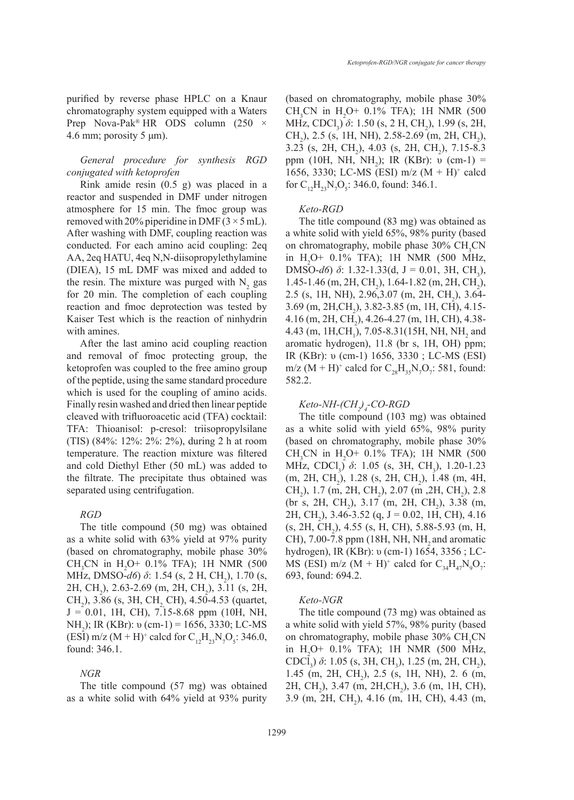purified by reverse phase HPLC on a Knaur chromatography system equipped with a Waters Prep Nova-Pak<sup>®</sup> HR ODS column (250  $\times$ 4.6 mm; porosity 5  $\mu$ m).

# *General procedure for synthesis RGD conjugated with ketoprofen*

Rink amide resin (0.5 g) was placed in a reactor and suspended in DMF under nitrogen atmosphere for 15 min. The fmoc group was removed with 20% piperidine in DMF  $(3 \times 5 \text{ mL})$ . After washing with DMF, coupling reaction was conducted. For each amino acid coupling: 2eq AA, 2eq HATU, 4eq N,N-diisopropylethylamine (DIEA), 15 mL DMF was mixed and added to the resin. The mixture was purged with  $N_2$  gas for 20 min. The completion of each coupling reaction and fmoc deprotection was tested by Kaiser Test which is the reaction of ninhydrin with amines.

After the last amino acid coupling reaction and removal of fmoc protecting group, the ketoprofen was coupled to the free amino group of the peptide, using the same standard procedure which is used for the coupling of amino acids. Finally resin washed and dried then linear peptide cleaved with trifluoroacetic acid (TFA) cocktail: TFA: Thioanisol: p-cresol: triisopropylsilane (TIS) (84%: 12%: 2%: 2%), during 2 h at room temperature. The reaction mixture was filtered and cold Diethyl Ether (50 mL) was added to the filtrate. The precipitate thus obtained was separated using centrifugation.

### *RGD*

The title compound (50 mg) was obtained as a white solid with 63% yield at 97% purity (based on chromatography, mobile phase 30% CH<sub>3</sub>CN in H<sub>2</sub>O+ 0.1% TFA); 1H NMR (500 MHz, DMSO-*d6*) *δ*: 1.54 (s, 2 H, CH<sub>2</sub>), 1.70 (s,  $2H, CH<sub>2</sub>$ ), 2.63-2.69 (m, 2H, CH<sub>2</sub>), 3.11 (s, 2H, CH<sub>2</sub>), 3.86 (s, 3H, CH<sub>2</sub>, CH), 4.50-4.53 (quartet,  $J = 0.01$ , 1H, CH), 7.15-8.68 ppm (10H, NH, NH<sub>2</sub>); IR (KBr): υ (cm-1) = 1656, 3330; LC-MS (ESI) m/z (M + H)<sup>+</sup> calcd for  $C_{12}H_{23}N_{7}O_{5}$ : 346.0, found: 346.1.

#### *NGR*

The title compound (57 mg) was obtained as a white solid with 64% yield at 93% purity

(based on chromatography, mobile phase 30% CH<sub>3</sub>CN in H<sub>2</sub>O+ 0.1% TFA); 1H NMR (500 MHz, CDCl<sub>3</sub>) *δ*: 1.50 (s, 2 H, CH<sub>2</sub>), 1.99 (s, 2H, CH<sub>2</sub>), 2.5 (s, 1H, NH), 2.58-2.69 (m, 2H, CH<sub>2</sub>), 3.23 (s, 2H, CH<sub>2</sub>), 4.03 (s, 2H, CH<sub>2</sub>), 7.15-8.3 ppm (10H, NH, NH<sub>2</sub>); IR (KBr): υ (cm-1) = 1656, 3330; LC-MS (ESI) m/z (M + H)+ calcd for  $C_{12}H_{23}N_7O_5$ : 346.0, found: 346.1.

## *Keto-RGD*

The title compound (83 mg) was obtained as a white solid with yield 65%, 98% purity (based on chromatography, mobile phase  $30\% \text{ CH}_{3} \text{CN}$ in  $H_2O+ 0.1\%$  TFA); 1H NMR (500 MHz, DMSO- $d6$ )  $\delta$ : 1.32-1.33(d, J = 0.01, 3H, CH<sub>3</sub>), 1.45-1.46 (m, 2H, CH<sub>2</sub>), 1.64-1.82 (m, 2H, CH<sub>2</sub>), 2.5 (s, 1H, NH), 2.96,3.07 (m, 2H, CH<sub>2</sub>), 3.64- $3.69$  (m,  $2H, CH<sub>2</sub>$ ),  $3.82-3.85$  (m, 1H, CH),  $4.15 4.16$  (m, 2H, CH<sub>2</sub>),  $4.26$ - $4.27$  (m, 1H, CH),  $4.38$ -4.43 (m, 1H,CH<sub>1</sub>), 7.05-8.31(15H, NH, NH<sub>2</sub> and aromatic hydrogen), 11.8 (br s, 1H, OH) ppm; IR (KBr): υ (cm-1) 1656, 3330 ; LC-MS (ESI) m/z (M + H)<sup>+</sup> calcd for  $C_{28}H_{35}N_{7}O_{7}$ : 581, found: 582.2.

# *Keto-NH-(CH2 )4 -CO-RGD*

The title compound (103 mg) was obtained as a white solid with yield 65%, 98% purity (based on chromatography, mobile phase 30%  $CH<sub>3</sub>CN$  in  $H<sub>2</sub>O+ 0.1%$  TFA); 1H NMR (500 MHz, CDCl<sub>3</sub>) *δ*: 1.05 (s, 3H, CH<sub>3</sub>), 1.20-1.23  $(m, 2H, CH_2)$ , 1.28 (s, 2H, CH<sub>2</sub>), 1.48 (m, 4H, CH<sub>2</sub>), 1.7 (m, 2H, CH<sub>2</sub>), 2.07 (m, 2H, CH<sub>2</sub>), 2.8  $(\text{br s, 2H, CH}_2)$ , 3.17 (m, 2H, CH<sub>2</sub>), 3.38 (m, 2H, CH<sub>2</sub>), 3.46-3.52 (q, J = 0.02, 1H, CH), 4.16  $(s, 2H, CH<sub>2</sub>), 4.55 (s, H, CH), 5.88-5.93 (m, H,$ CH), 7.00-7.8 ppm (18H, NH, NH, and aromatic hydrogen), IR (KBr): υ (cm-1) 1654, 3356 ; LC-MS (ESI) m/z  $(M + H)^+$  calcd for  $C_{34}H_{47}N_9O_7$ : 693, found: 694.2.

#### *Keto-NGR*

The title compound (73 mg) was obtained as a white solid with yield 57%, 98% purity (based on chromatography, mobile phase  $30\% \text{ CH}_{3} \text{CN}$ in  $H_2O+ 0.1\%$  TFA); 1H NMR (500 MHz, CDCl<sub>3</sub>) δ: 1.05 (s, 3H, CH<sub>3</sub>), 1.25 (m, 2H, CH<sub>2</sub>), 1.45 (m, 2H, CH<sub>2</sub>), 2.5 (s, 1H, NH), 2.6 (m, 2H, CH<sub>2</sub>), 3.47 (m, 2H, CH<sub>2</sub>), 3.6 (m, 1H, CH), 3.9 (m, 2H, CH<sub>2</sub>), 4.16 (m, 1H, CH), 4.43 (m,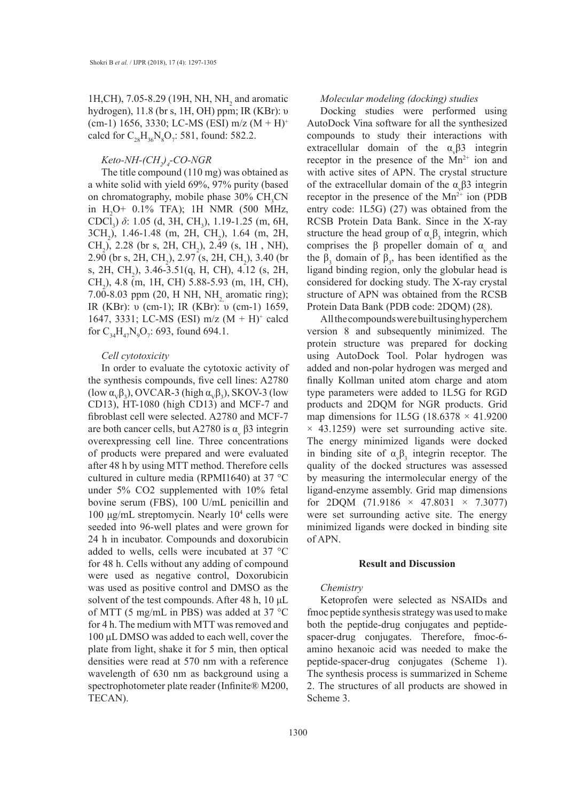1H,CH), 7.05-8.29 (19H, NH, NH<sub>2</sub> and aromatic hydrogen), 11.8 (br s, 1H, OH) ppm; IR (KBr): υ (cm-1) 1656, 3330; LC-MS (ESI) m/z  $(M + H)^+$ calcd for  $C_{28}H_{36}N_8O_7$ : 581, found: 582.2.

# *Keto-NH-(CH2 ) 4 -CO-NGR*

The title compound (110 mg) was obtained as a white solid with yield 69%, 97% purity (based on chromatography, mobile phase  $30\% \text{ CH}_{3} \text{CN}$ in  $H_2O+ 0.1\%$  TFA); 1H NMR (500 MHz, CDCl<sub>3</sub>) *δ*: 1.05 (d, 3H, CH<sub>3</sub>), 1.19-1.25 (m, 6H, 3CH<sub>2</sub>), 1.46-1.48 (m, 2H, CH<sub>2</sub>), 1.64 (m, 2H, CH<sub>2</sub>), 2.28 (br s, 2H, CH<sub>2</sub>), 2.49 (s, 1H, NH), 2.90 (br s, 2H, CH<sub>2</sub>), 2.97 (s, 2H, CH<sub>2</sub>), 3.40 (br s, 2H, CH<sub>2</sub>), 3.46-3.51(q, H, CH), 4.12 (s, 2H,  $CH<sub>2</sub>$ ), 4.8 (m, 1H, CH) 5.88-5.93 (m, 1H, CH), 7.00-8.03 ppm (20, H NH, NH, aromatic ring); IR (KBr): υ (cm-1); IR (KBr): υ (cm-1) 1659, 1647, 3331; LC-MS (ESI) m/z (M + H)+ calcd for  $C_{34}H_{47}N_9O_7$ : 693, found 694.1.

## *Cell cytotoxicity*

In order to evaluate the cytotoxic activity of the synthesis compounds, five cell lines: A2780 (low  $\alpha_{\rm v}\beta_3$ ), OVCAR-3 (high  $\alpha_{\rm v}\beta_3$ ), SKOV-3 (low CD13), HT-1080 (high CD13) and MCF-7 and fibroblast cell were selected. A2780 and MCF-7 are both cancer cells, but A2780 is  $\alpha$ <sub>v</sub>  $\beta$ 3 integrin overexpressing cell line. Three concentrations of products were prepared and were evaluated after 48 h by using MTT method. Therefore cells cultured in culture media (RPMI1640) at 37 °C under 5% CO2 supplemented with 10% fetal bovine serum (FBS), 100 U/mL penicillin and 100 μg/mL streptomycin. Nearly 10<sup>4</sup> cells were seeded into 96-well plates and were grown for 24 h in incubator. Compounds and doxorubicin added to wells, cells were incubated at 37 °C for 48 h. Cells without any adding of compound were used as negative control, Doxorubicin was used as positive control and DMSO as the solvent of the test compounds. After 48 h, 10 μL of MTT (5 mg/mL in PBS) was added at 37 °C for 4 h. The medium with MTT was removed and 100 μL DMSO was added to each well, cover the plate from light, shake it for 5 min, then optical densities were read at 570 nm with a reference wavelength of 630 nm as background using a spectrophotometer plate reader (Infinite® M200, TECAN).

#### *Molecular modeling (docking) studies*

Docking studies were performed using AutoDock Vina software for all the synthesized compounds to study their interactions with extracellular domain of the  $\alpha_{\nu} \beta 3$  integrin receptor in the presence of the  $Mn^{2+}$  ion and with active sites of APN. The crystal structure of the extracellular domain of the  $\alpha_{\gamma} \beta$ 3 integrin receptor in the presence of the  $Mn^{2+}$  ion (PDB entry code: 1L5G) (27) was obtained from the RCSB Protein Data Bank. Since in the X-ray structure the head group of  $\alpha_{\gamma} \beta_3$  integrin, which comprises the  $\beta$  propeller domain of  $\alpha$ <sub>v</sub> and the  $\beta_3$  domain of  $\beta_3$ , has been identified as the ligand binding region, only the globular head is considered for docking study. The X-ray crystal structure of APN was obtained from the RCSB Protein Data Bank (PDB code: 2DQM) (28).

All the compounds were built using hyperchem version 8 and subsequently minimized. The protein structure was prepared for docking using AutoDock Tool. Polar hydrogen was added and non-polar hydrogen was merged and finally Kollman united atom charge and atom type parameters were added to 1L5G for RGD products and 2DQM for NGR products. Grid map dimensions for 1L5G (18.6378  $\times$  41.9200  $\times$  43.1259) were set surrounding active site. The energy minimized ligands were docked in binding site of  $\alpha_{\nu} \beta_3$  integrin receptor. The quality of the docked structures was assessed by measuring the intermolecular energy of the ligand-enzyme assembly. Grid map dimensions for 2DQM  $(71.9186 \times 47.8031 \times 7.3077)$ were set surrounding active site. The energy minimized ligands were docked in binding site of APN.

#### **Result and Discussion**

#### *Chemistry*

Ketoprofen were selected as NSAIDs and fmoc peptide synthesis strategy was used to make both the peptide-drug conjugates and peptidespacer-drug conjugates. Therefore, fmoc-6 amino hexanoic acid was needed to make the peptide-spacer-drug conjugates (Scheme 1). The synthesis process is summarized in Scheme 2. The structures of all products are showed in Scheme 3.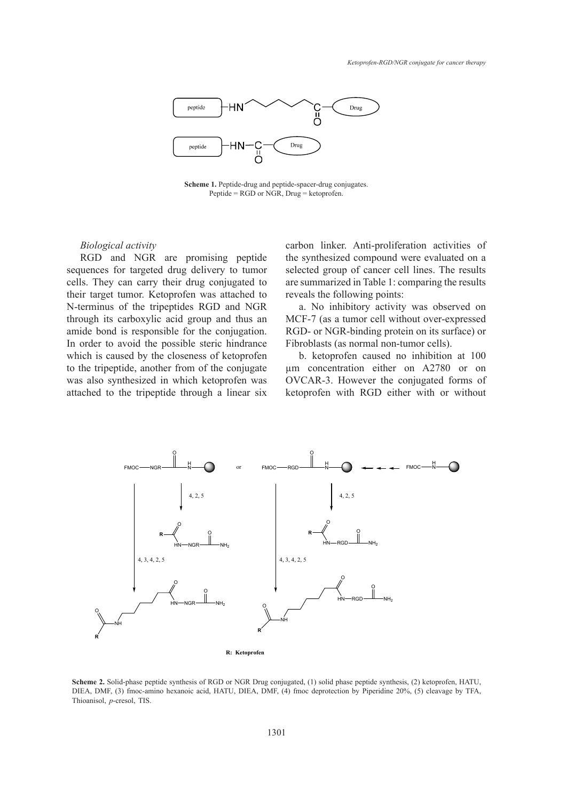

**Scheme 1.** Peptide-drug and peptide-spacer-drug conjugates. **Scheme 1.** Peptide-drug and peptide-spacer-drug conjugates. Peptide = RGD or NGR, Drug = ketoprofen. Peptide = RGD or NGR, Drug = ketoprofen.

#### *Biological activity*

RGD and NGR are promising peptide sequences for targeted drug delivery to tumor cells. They can carry their drug conjugated to their target tumor. Ketoprofen was attached to N-terminus of the tripeptides RGD and NGR through its carboxylic acid group and thus an amide bond is responsible for the conjugation. In order to avoid the possible steric hindrance which is caused by the closeness of ketoprofen **R** to the tripeptide, another from of the conjugate was also synthesized in which ketoprofen was OVC attached to the tripeptide through a linear six

carbon linker. Anti-proliferation activities of the synthesized compound were evaluated on a selected group of cancer cell lines. The results  $\frac{1}{2}$  comparing the results conjugated to are summarized in Table 1: comparing the results reveals the following points:

> a. No inhibitory activity was observed on  $MCF-7$  (as a tumor cell without over-expressed RGD- or NGR-binding protein on its surface) or Fibroblasts (as normal non-tumor cells).

> b. ketoprofen caused no inhibition at 100  $\mu$ m concentration either on A2780 or on OVCAR-3. However the conjugated forms of ketoprofen with RGD either with or without



**Scheme 2.** Solid-phase peptide synthesis of RGD or NGR Drug conjugated, (1) solid phase peptide synthesis, (2) ketoprofen, HATU, DIEA, DMF, (3) fmoc-amino hexanoic acid, HATU, DIEA, DMF, (4) fmoc deprotection by Piperidine 20%, (5) cleavage by TFA, Thioanisol, *p*-cresol, TIS.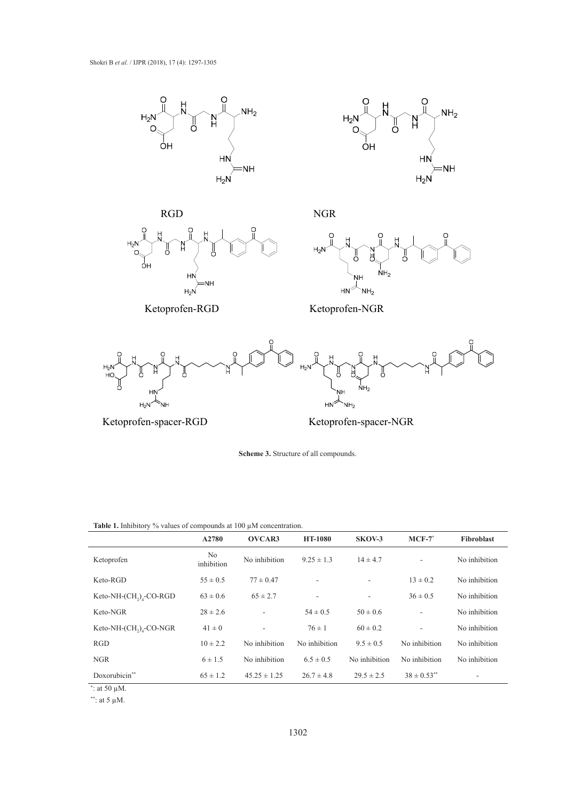





NGR







Ketoprofen-NGR



Ketoprofen-spacer-RGD Ketoprofen-spacer-NGR Ketoprofen-spacer-RGD Ketoprofen-spacer-NGR

 $S$ cheme . **Scheme 3.** Structure of all compounds. **Scheme 3.** Structure of all compounds.

Table 1. Inhibitory % values of compounds at 100  $\mu$ M concentration.

|                             | A2780            | OVCAR3                   | <b>HT-1080</b> | SKOV-3         | $MCF-7$                  | Fibroblast    |
|-----------------------------|------------------|--------------------------|----------------|----------------|--------------------------|---------------|
| Ketoprofen                  | No<br>inhibition | No inhibition            | $9.25 \pm 1.3$ | $14 \pm 4.7$   | $\overline{\phantom{a}}$ | No inhibition |
| Keto-RGD                    | $55 \pm 0.5$     | $77 \pm 0.47$            | ۰              |                | $13 \pm 0.2$             | No inhibition |
| Keto-NH- $(CH_2)_4$ -CO-RGD | $63 \pm 0.6$     | $65 \pm 2.7$             | ٠              |                | $36 \pm 0.5$             | No inhibition |
| Keto-NGR                    | $28 \pm 2.6$     | $\overline{\phantom{a}}$ | $54 \pm 0.5$   | $50 \pm 0.6$   | $\overline{\phantom{a}}$ | No inhibition |
| Keto-NH- $(CH_2)_4$ -CO-NGR | $41 \pm 0$       | $\overline{\phantom{0}}$ | $76 \pm 1$     | $60 \pm 0.2$   | ÷,                       | No inhibition |
| RGD                         | $10 \pm 2.2$     | No inhibition            | No inhibition  | $9.5 \pm 0.5$  | No inhibition            | No inhibition |
| <b>NGR</b>                  | $6 \pm 1.5$      | No inhibition            | $6.5 \pm 0.5$  | No inhibition  | No inhibition            | No inhibition |
| Doxorubicin**               | $65 \pm 1.2$     | $45.25 \pm 1.25$         | $26.7 \pm 4.8$ | $29.5 \pm 2.5$ | $38 \pm 0.53$ **         |               |

 $\omega$  the closeness of the closeness of the tripe ptide, and the tripe professor of the tripe point of the tripe point of the tripe point of the tripe point of the tripe point of the tripe point of the tripe point of the t \* : at 50 µM.

\*\*: at 5  $\mu$ M.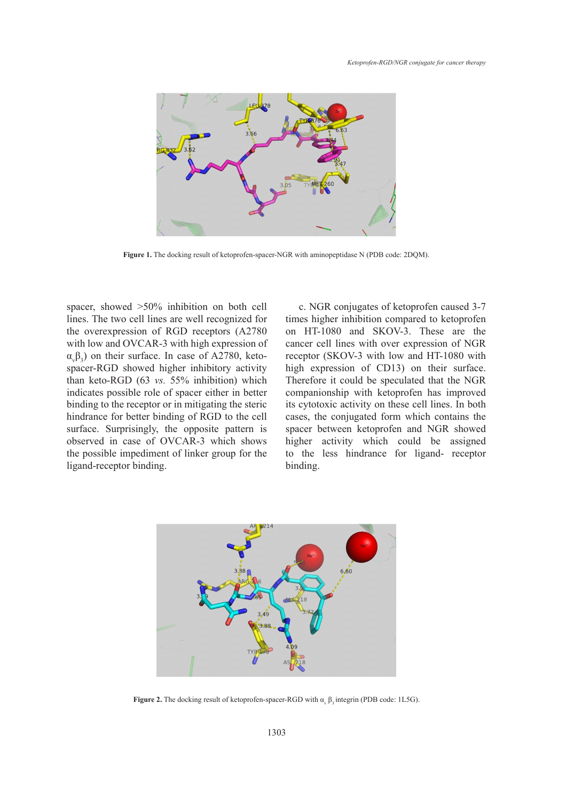

**Figure 1.** The docking result of ketoprofen-spacer-NGR with aminopeptidase N (PDB code: 2DQM).

spacer, showed >50% inhibition on both cell lines. The two cell lines are well recognized for the overexpression of RGD receptors (A2780 with low and OVCAR-3 with high expression of  $\alpha_{\rm v}\beta_3$ ) on their surface. In case of A2780, ketospacer-RGD showed higher inhibitory activity than keto-RGD (63 *vs.* 55% inhibition) which indicates possible role of spacer either in better binding to the receptor or in mitigating the steric hindrance for better binding of RGD to the cell cases, the conjugated forr surface. Surprisingly, the opposite pattern is spacer between ketoprofe observed in case of OVCAR-3 which shows the possible impediment of linker group for the ligand-receptor binding.

c. NGR conjugates of ketoprofen caused 3-7 times higher inhibition compared to ketoprofen on HT-1080 and SKOV-3. These are the cancer cell lines with over expression of NGR receptor (SKOV-3 with low and HT-1080 with high expression of CD13) on their surface. Therefore it could be speculated that the NGR e of spacer either in better companionship with ketoprofen has improved or in mitigating the steric its cytotoxic activity on these cell lines. In both cases, the conjugated form which contains the spacer between ketoprofen and NGR showed OVCAR-3 which shows higher activity which could be assigned ent of linker group for the to the less hindrance for ligand- receptor ng. The site of  $\sim$  ion in active site has 5.45A distance from the carbon chain.  $\mathcal{L}$  and  $\mathcal{L}$  and  $\mathcal{L}$  and  $\mathcal{L}$  and 3.9A and 3.7A  $\mathcal{L}$  and 3.9A and 3.7A has come into  $\mathcal{L}$ 



**Figure 2.** The docking result of ketoprofen-spacer-RGD with  $\alpha_v$   $\beta_3$  integrin (PDB code: 1L5G).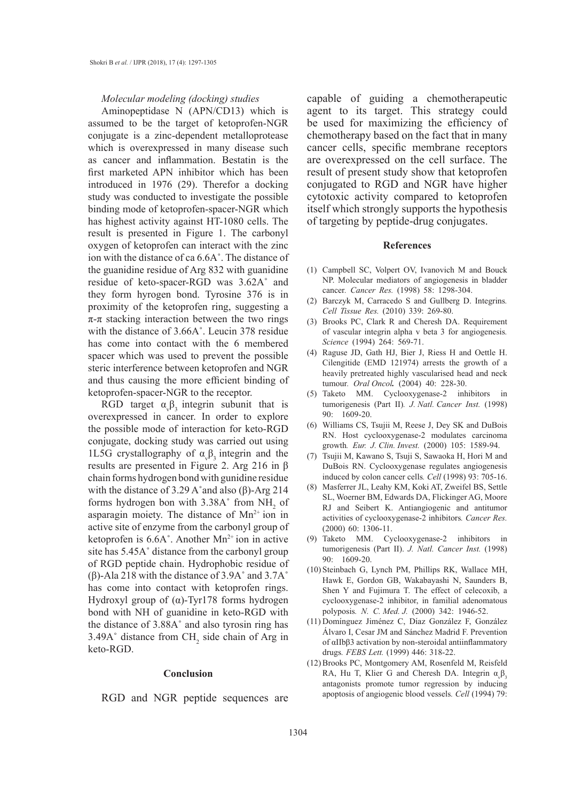#### *Molecular modeling (docking) studies*

Aminopeptidase N (APN/CD13) which is assumed to be the target of ketoprofen-NGR conjugate is a zinc-dependent metalloprotease which is overexpressed in many disease such as cancer and inflammation. Bestatin is the first marketed APN inhibitor which has been introduced in 1976 (29). Therefor a docking study was conducted to investigate the possible binding mode of ketoprofen-spacer-NGR which has highest activity against HT-1080 cells. The result is presented in Figure 1. The carbonyl oxygen of ketoprofen can interact with the zinc ion with the distance of ca 6.6A˚. The distance of the guanidine residue of Arg 832 with guanidine residue of keto-spacer-RGD was 3.62A˚ and they form hyrogen bond. Tyrosine 376 is in proximity of the ketoprofen ring, suggesting a  $\pi$ - $\pi$  stacking interaction between the two rings with the distance of 3.66A˚. Leucin 378 residue has come into contact with the 6 membered spacer which was used to prevent the possible steric interference between ketoprofen and NGR and thus causing the more efficient binding of ketoprofen-spacer-NGR to the receptor.

RGD target  $\alpha_{\gamma} \beta_3$  integrin subunit that is overexpressed in cancer. In order to explore the possible mode of interaction for keto-RGD conjugate, docking study was carried out using 1L5G crystallography of  $\alpha_{\gamma} \beta_3$  integrin and the results are presented in Figure 2. Arg 216 in β chain forms hydrogen bond with gunidine residue with the distance of 3.29 A $\degree$ and also (β)-Arg 214 forms hydrogen bon with  $3.38A^{\circ}$  from NH<sub>2</sub> of asparagin moiety. The distance of  $Mn^{2+}$  ion in active site of enzyme from the carbonyl group of ketoprofen is  $6.6A^{\circ}$ . Another Mn<sup>2+</sup> ion in active site has 5.45A˚ distance from the carbonyl group of RGD peptide chain. Hydrophobic residue of (β)-Ala 218 with the distance of 3.9A˚ and 3.7A˚ has come into contact with ketoprofen rings. Hydroxyl group of (α)-Tyr178 forms hydrogen bond with NH of guanidine in keto-RGD with the distance of 3.88A˚ and also tyrosin ring has  $3.49A^{\circ}$  distance from CH<sub>2</sub> side chain of Arg in keto-RGD.

#### **Conclusion**

RGD and NGR peptide sequences are

capable of guiding a chemotherapeutic agent to its target. This strategy could be used for maximizing the efficiency of chemotherapy based on the fact that in many cancer cells, specific membrane receptors are overexpressed on the cell surface. The result of present study show that ketoprofen conjugated to RGD and NGR have higher cytotoxic activity compared to ketoprofen itself which strongly supports the hypothesis of targeting by peptide-drug conjugates.

#### **References**

- (1) Campbell SC, Volpert OV, Ivanovich M and Bouck NP. Molecular mediators of angiogenesis in bladder cancer*. Cancer Res.* (1998) 58: 1298-304.
- Barczyk M, Carracedo S and Gullberg D. Integrins*.* (2) *Cell Tissue Res.* (2010) 339: 269-80.
- (3) Brooks PC, Clark R and Cheresh DA. Requirement of vascular integrin alpha v beta 3 for angiogenesis*. Science* (1994) 264: 569-71.
- Raguse JD, Gath HJ, Bier J, Riess H and Oettle H. (4) Cilengitide (EMD 121974) arrests the growth of a heavily pretreated highly vascularised head and neck tumour*. Oral Oncol.* (2004) 40: 228-30.
- (5) Taketo MM. Cyclooxygenase-2 inhibitors in tumorigenesis (Part II)*. J. Natl. Cancer Inst.* (1998) 90: 1609-20.
- Williams CS, Tsujii M, Reese J, Dey SK and DuBois (6) RN. Host cyclooxygenase-2 modulates carcinoma growth*. Eur. J. Clin. Invest.* (2000) 105: 1589-94.
- Tsujii M, Kawano S, Tsuji S, Sawaoka H, Hori M and (7) DuBois RN. Cyclooxygenase regulates angiogenesis induced by colon cancer cells*. Cell* (1998) 93: 705-16.
- (8) Masferrer JL, Leahy KM, Koki AT, Zweifel BS, Settle SL, Woerner BM, Edwards DA, Flickinger AG, Moore RJ and Seibert K. Antiangiogenic and antitumor activities of cyclooxygenase-2 inhibitors*. Cancer Res.*  (2000) 60: 1306-11.
- (9) Taketo MM. Cyclooxygenase-2 inhibitors in tumorigenesis (Part II). *J. Natl. Cancer Inst.* (1998) 90: 1609-20.
- (10) Steinbach G, Lynch PM, Phillips RK, Wallace MH, Hawk E, Gordon GB, Wakabayashi N, Saunders B, Shen Y and Fujimura T. The effect of celecoxib, a cyclooxygenase-2 inhibitor, in familial adenomatous polyposis*. N. C. Med. J.* (2000) 342: 1946-52.
- (11) Domínguez Jiménez C, Díaz González F, González Álvaro I, Cesar JM and Sánchez Madrid F. Prevention of αIIbβ3 activation by non-steroidal antiinflammatory drugs*. FEBS Lett.* (1999) 446: 318-22.
- (12) Brooks PC, Montgomery AM, Rosenfeld M, Reisfeld RA, Hu T, Klier G and Cheresh DA. Integrin  $\alpha_{\nu} \beta_3$ antagonists promote tumor regression by inducing apoptosis of angiogenic blood vessels*. Cell* (1994) 79: